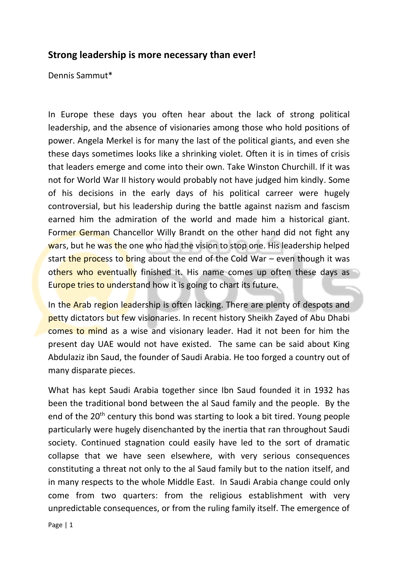## **Strong leadership is more necessary than ever!**

Dennis Sammut\*

In Europe these days you often hear about the lack of strong political leadership, and the absence of visionaries among those who hold positions of power. Angela Merkel is for many the last of the political giants, and even she these days sometimes looks like a shrinking violet. Often it is in times of crisis that leaders emerge and come into their own. Take Winston Churchill. If it was not for World War II history would probably not have judged him kindly. Some of his decisions in the early days of his political carreer were hugely controversial, but his leadership during the battle against nazism and fascism earned him the admiration of the world and made him a historical giant. Former German Chancellor Willy Brandt on the other hand did not fight any wars, but he was the one who had the vision to stop one. His leadership helped start the process to bring about the end of the Cold War – even though it was others who eventually finished it. His name comes up often these days as Europe tries to understand how it is going to chart its future.

In the Arab region leadership is often lacking. There are plenty of despots and petty dictators but few visionaries. In recent history Sheikh Zayed of Abu Dhabi comes to mind as a wise and visionary leader. Had it not been for him the present day UAE would not have existed. The same can be said about King Abdulaziz ibn Saud, the founder of Saudi Arabia. He too forged a country out of many disparate pieces.

What has kept Saudi Arabia together since Ibn Saud founded it in 1932 has been the traditional bond between the al Saud family and the people. By the end of the  $20<sup>th</sup>$  century this bond was starting to look a bit tired. Young people particularly were hugely disenchanted by the inertia that ran throughout Saudi society. Continued stagnation could easily have led to the sort of dramatic collapse that we have seen elsewhere, with very serious consequences constituting a threat not only to the al Saud family but to the nation itself, and in many respects to the whole Middle East. In Saudi Arabia change could only come from two quarters: from the religious establishment with very unpredictable consequences, or from the ruling family itself. The emergence of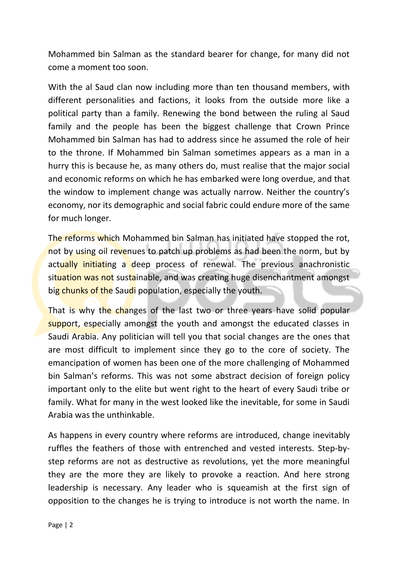Mohammed bin Salman as the standard bearer for change, for many did not come a moment too soon.

With the al Saud clan now including more than ten thousand members, with different personalities and factions, it looks from the outside more like a political party than a family. Renewing the bond between the ruling al Saud family and the people has been the biggest challenge that Crown Prince Mohammed bin Salman has had to address since he assumed the role of heir to the throne. If Mohammed bin Salman sometimes appears as a man in a hurry this is because he, as many others do, must realise that the major social and economic reforms on which he has embarked were long overdue, and that the window to implement change was actually narrow. Neither the country's economy, nor its demographic and social fabric could endure more of the same for much longer.

The reforms which Mohammed bin Salman has initiated have stopped the rot, not by using oil revenues to patch up problems as had been the norm, but by actually initiating a deep process of renewal. The previous anachronistic situation was not sustainable, and was creating huge disenchantment amongst big chunks of the Saudi population, especially the youth.

That is why the changes of the last two or three years have solid popular support, especially amongst the youth and amongst the educated classes in Saudi Arabia. Any politician will tell you that social changes are the ones that are most difficult to implement since they go to the core of society. The emancipation of women has been one of the more challenging of Mohammed bin Salman's reforms. This was not some abstract decision of foreign policy important only to the elite but went right to the heart of every Saudi tribe or family. What for many in the west looked like the inevitable, for some in Saudi Arabia was the unthinkable.

As happens in every country where reforms are introduced, change inevitably ruffles the feathers of those with entrenched and vested interests. Step-bystep reforms are not as destructive as revolutions, yet the more meaningful they are the more they are likely to provoke a reaction. And here strong leadership is necessary. Any leader who is squeamish at the first sign of opposition to the changes he is trying to introduce is not worth the name. In